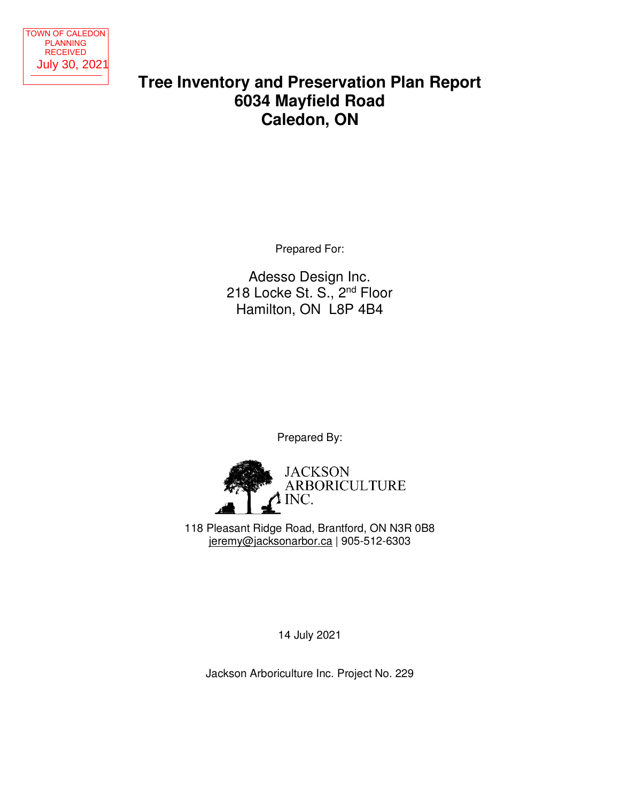

# **Tree Inventory and Preservation Plan Report 6034 Mayfield Road Caledon, ON**  Tree Inventory and Preservation Planette Caledon, ON<br>
Mayfield Road<br>
July 30, 2021<br>
Tree Inventory and Preservation Planette<br>
Areas Design Inc.<br>
218 Locke St. S., 2<sup>nd</sup> Floor<br>
Hamilton, ON L8P 4B4<br>
Prepared By:<br>
Prepared B

Prepared For:

Adesso Design Inc. 218 Locke St. S., 2nd Floor Hamilton, ON L8P 4B4

Prepared By:



118 Pleasant Ridge Road, Brantford, ON N3R 0B8 jeremy@jacksonarbor.ca | 905-512-6303

14 July 2021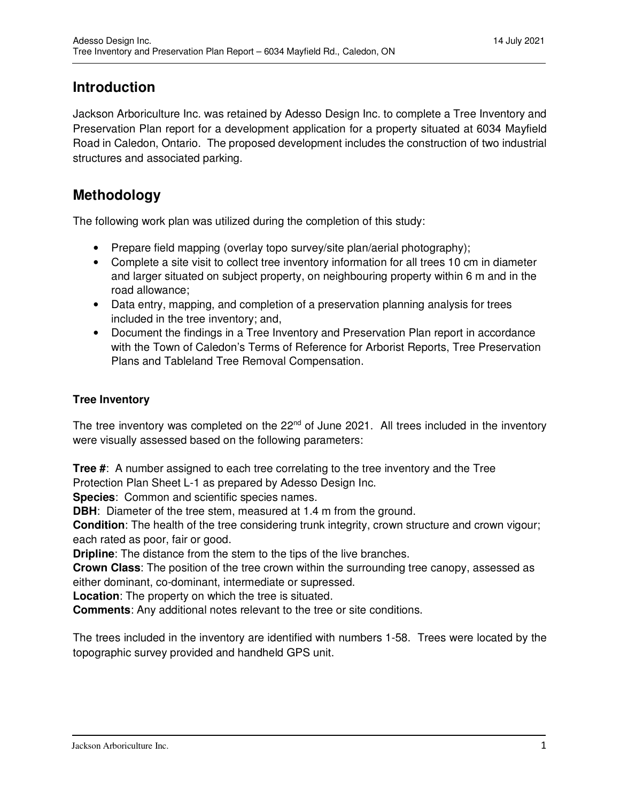# **Introduction**

Jackson Arboriculture Inc. was retained by Adesso Design Inc. to complete a Tree Inventory and Preservation Plan report for a development application for a property situated at 6034 Mayfield Road in Caledon, Ontario. The proposed development includes the construction of two industrial structures and associated parking.

# **Methodology**

The following work plan was utilized during the completion of this study:

- Prepare field mapping (overlay topo survey/site plan/aerial photography);
- Complete a site visit to collect tree inventory information for all trees 10 cm in diameter and larger situated on subject property, on neighbouring property within 6 m and in the road allowance;
- Data entry, mapping, and completion of a preservation planning analysis for trees included in the tree inventory; and,
- Document the findings in a Tree Inventory and Preservation Plan report in accordance with the Town of Caledon's Terms of Reference for Arborist Reports, Tree Preservation Plans and Tableland Tree Removal Compensation.

### **Tree Inventory**

The tree inventory was completed on the 22<sup>nd</sup> of June 2021. All trees included in the inventory were visually assessed based on the following parameters:

**Tree #**: A number assigned to each tree correlating to the tree inventory and the Tree Protection Plan Sheet L-1 as prepared by Adesso Design Inc.

**Species**: Common and scientific species names.

**DBH:** Diameter of the tree stem, measured at 1.4 m from the ground.

**Condition**: The health of the tree considering trunk integrity, crown structure and crown vigour; each rated as poor, fair or good.

**Dripline**: The distance from the stem to the tips of the live branches.

**Crown Class**: The position of the tree crown within the surrounding tree canopy, assessed as either dominant, co-dominant, intermediate or supressed.

**Location**: The property on which the tree is situated.

**Comments**: Any additional notes relevant to the tree or site conditions.

The trees included in the inventory are identified with numbers 1-58. Trees were located by the topographic survey provided and handheld GPS unit.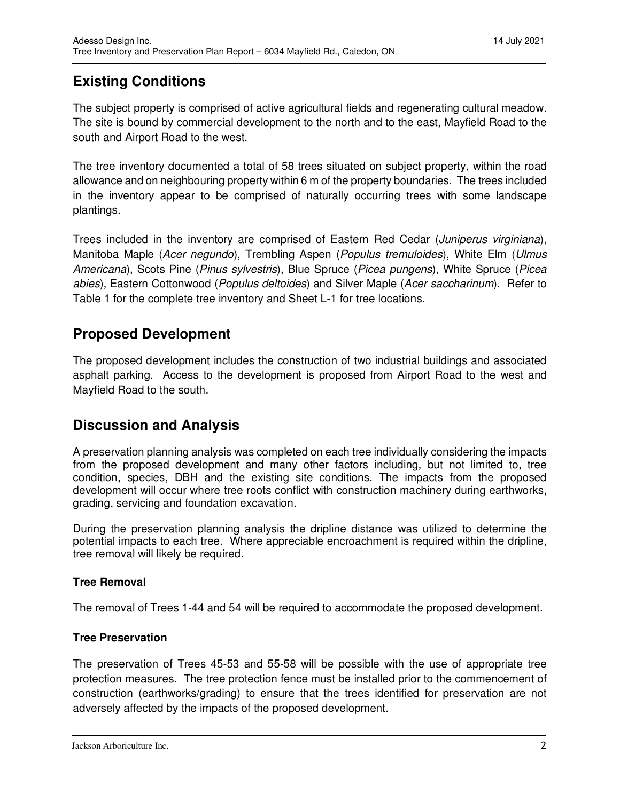# **Existing Conditions**

The subject property is comprised of active agricultural fields and regenerating cultural meadow. The site is bound by commercial development to the north and to the east, Mayfield Road to the south and Airport Road to the west.

The tree inventory documented a total of 58 trees situated on subject property, within the road allowance and on neighbouring property within 6 m of the property boundaries. The trees included in the inventory appear to be comprised of naturally occurring trees with some landscape plantings.

Trees included in the inventory are comprised of Eastern Red Cedar (Juniperus virginiana), Manitoba Maple (Acer negundo), Trembling Aspen (Populus tremuloides), White Elm (Ulmus Americana), Scots Pine (Pinus sylvestris), Blue Spruce (Picea pungens), White Spruce (Picea abies), Eastern Cottonwood (Populus deltoides) and Silver Maple (Acer saccharinum). Refer to Table 1 for the complete tree inventory and Sheet L-1 for tree locations.

# **Proposed Development**

The proposed development includes the construction of two industrial buildings and associated asphalt parking. Access to the development is proposed from Airport Road to the west and Mayfield Road to the south.

# **Discussion and Analysis**

A preservation planning analysis was completed on each tree individually considering the impacts from the proposed development and many other factors including, but not limited to, tree condition, species, DBH and the existing site conditions. The impacts from the proposed development will occur where tree roots conflict with construction machinery during earthworks, grading, servicing and foundation excavation.

During the preservation planning analysis the dripline distance was utilized to determine the potential impacts to each tree. Where appreciable encroachment is required within the dripline, tree removal will likely be required.

## **Tree Removal**

The removal of Trees 1-44 and 54 will be required to accommodate the proposed development.

## **Tree Preservation**

The preservation of Trees 45-53 and 55-58 will be possible with the use of appropriate tree protection measures. The tree protection fence must be installed prior to the commencement of construction (earthworks/grading) to ensure that the trees identified for preservation are not adversely affected by the impacts of the proposed development.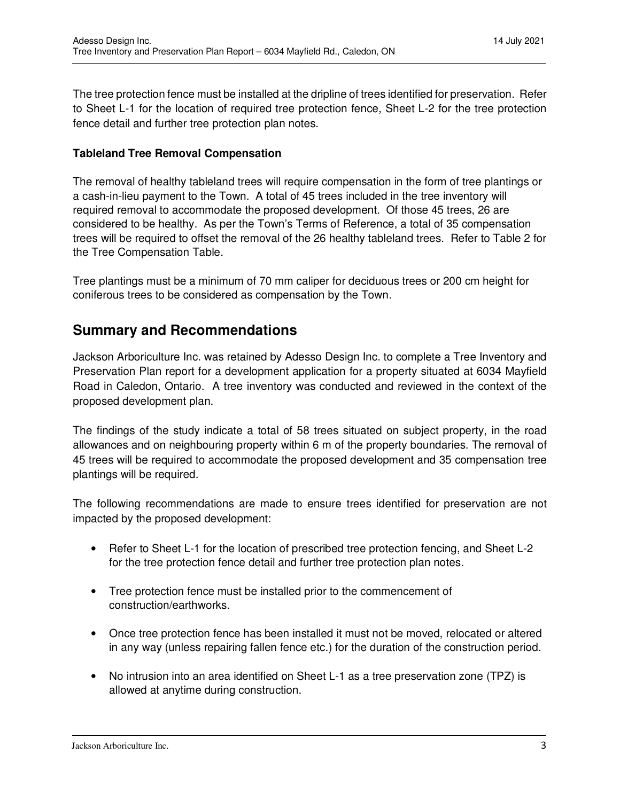The tree protection fence must be installed at the dripline of trees identified for preservation. Refer to Sheet L-1 for the location of required tree protection fence, Sheet L-2 for the tree protection fence detail and further tree protection plan notes.

### **Tableland Tree Removal Compensation**

The removal of healthy tableland trees will require compensation in the form of tree plantings or a cash-in-lieu payment to the Town. A total of 45 trees included in the tree inventory will required removal to accommodate the proposed development. Of those 45 trees, 26 are considered to be healthy. As per the Town's Terms of Reference, a total of 35 compensation trees will be required to offset the removal of the 26 healthy tableland trees. Refer to Table 2 for the Tree Compensation Table.

Tree plantings must be a minimum of 70 mm caliper for deciduous trees or 200 cm height for coniferous trees to be considered as compensation by the Town.

# **Summary and Recommendations**

Jackson Arboriculture Inc. was retained by Adesso Design Inc. to complete a Tree Inventory and Preservation Plan report for a development application for a property situated at 6034 Mayfield Road in Caledon, Ontario. A tree inventory was conducted and reviewed in the context of the proposed development plan.

The findings of the study indicate a total of 58 trees situated on subject property, in the road allowances and on neighbouring property within 6 m of the property boundaries. The removal of 45 trees will be required to accommodate the proposed development and 35 compensation tree plantings will be required.

The following recommendations are made to ensure trees identified for preservation are not impacted by the proposed development:

- Refer to Sheet L-1 for the location of prescribed tree protection fencing, and Sheet L-2 for the tree protection fence detail and further tree protection plan notes.
- Tree protection fence must be installed prior to the commencement of construction/earthworks.
- Once tree protection fence has been installed it must not be moved, relocated or altered in any way (unless repairing fallen fence etc.) for the duration of the construction period.
- No intrusion into an area identified on Sheet L-1 as a tree preservation zone (TPZ) is allowed at anytime during construction.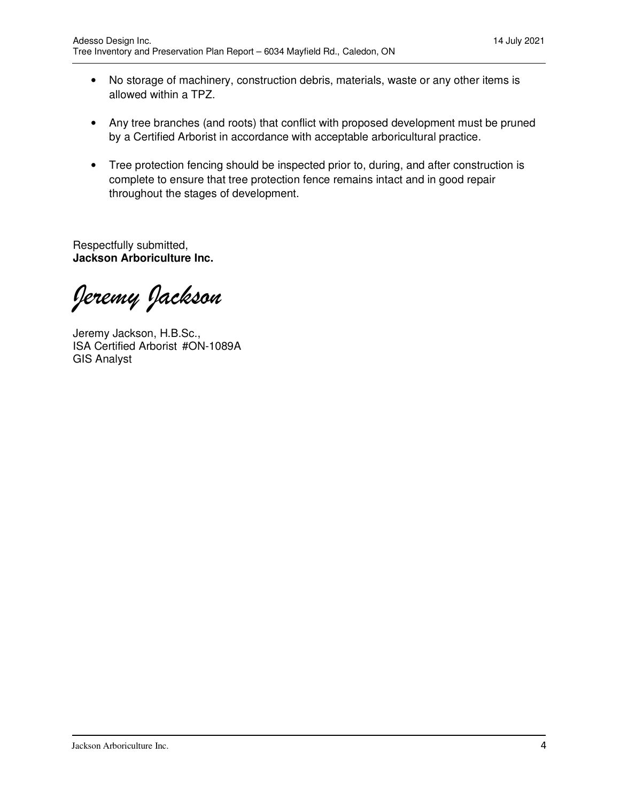- No storage of machinery, construction debris, materials, waste or any other items is allowed within a TPZ.
- Any tree branches (and roots) that conflict with proposed development must be pruned by a Certified Arborist in accordance with acceptable arboricultural practice.
- Tree protection fencing should be inspected prior to, during, and after construction is complete to ensure that tree protection fence remains intact and in good repair throughout the stages of development.

Respectfully submitted, **Jackson Arboriculture Inc.** 

*Jeremy Jackson* 

Jeremy Jackson, H.B.Sc., ISA Certified Arborist #ON-1089A GIS Analyst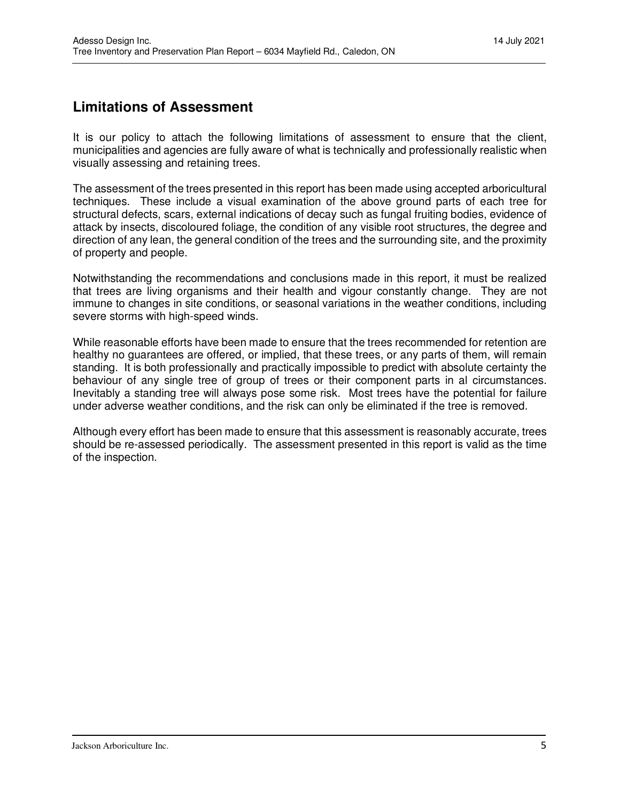# **Limitations of Assessment**

It is our policy to attach the following limitations of assessment to ensure that the client, municipalities and agencies are fully aware of what is technically and professionally realistic when visually assessing and retaining trees.

The assessment of the trees presented in this report has been made using accepted arboricultural techniques. These include a visual examination of the above ground parts of each tree for structural defects, scars, external indications of decay such as fungal fruiting bodies, evidence of attack by insects, discoloured foliage, the condition of any visible root structures, the degree and direction of any lean, the general condition of the trees and the surrounding site, and the proximity of property and people.

Notwithstanding the recommendations and conclusions made in this report, it must be realized that trees are living organisms and their health and vigour constantly change. They are not immune to changes in site conditions, or seasonal variations in the weather conditions, including severe storms with high-speed winds.

While reasonable efforts have been made to ensure that the trees recommended for retention are healthy no guarantees are offered, or implied, that these trees, or any parts of them, will remain standing. It is both professionally and practically impossible to predict with absolute certainty the behaviour of any single tree of group of trees or their component parts in al circumstances. Inevitably a standing tree will always pose some risk. Most trees have the potential for failure under adverse weather conditions, and the risk can only be eliminated if the tree is removed.

Although every effort has been made to ensure that this assessment is reasonably accurate, trees should be re-assessed periodically. The assessment presented in this report is valid as the time of the inspection.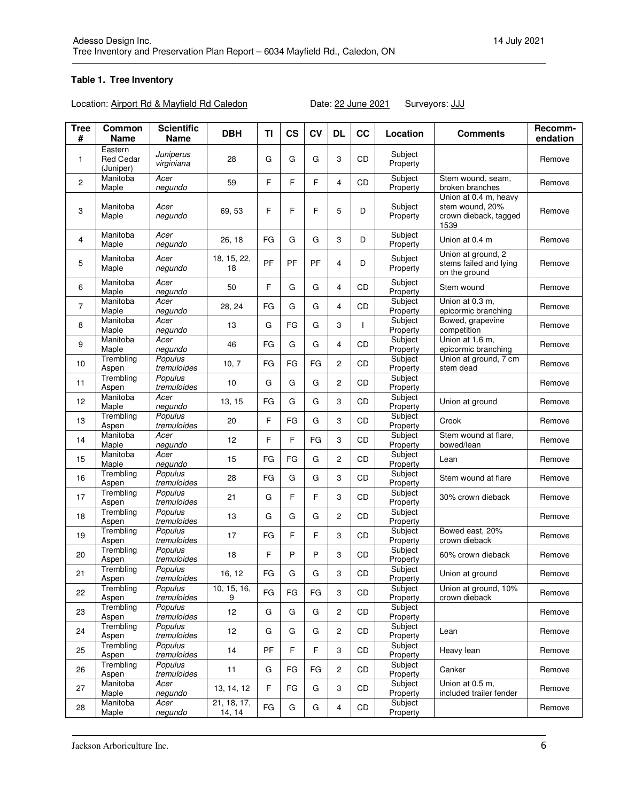### **Table 1. Tree Inventory**

Location: Airport Rd & Mayfield Rd Caledon Date: 22 June 2021 Surveyors: JJJ

| <b>Tree</b><br># | Common<br>Name                           | <b>Scientific</b><br>Name | <b>DBH</b>            | TI | <b>CS</b> | <b>CV</b> | <b>DL</b>      | cc        | Location            | <b>Comments</b>                                                           | Recomm-<br>endation |
|------------------|------------------------------------------|---------------------------|-----------------------|----|-----------|-----------|----------------|-----------|---------------------|---------------------------------------------------------------------------|---------------------|
| $\mathbf{1}$     | Eastern<br><b>Red Cedar</b><br>(Juniper) | Juniperus<br>virginiana   | 28                    | G  | G         | G         | 3              | CD        | Subject<br>Property |                                                                           | Remove              |
| $\overline{2}$   | Manitoba<br>Maple                        | Acer<br>negundo           | 59                    | F  | F         | F.        | 4              | <b>CD</b> | Subject<br>Property | Stem wound, seam.<br>broken branches                                      | Remove              |
| 3                | Manitoba<br>Maple                        | Acer<br>negundo           | 69, 53                | F  | F         | F         | 5              | D         | Subject<br>Property | Union at 0.4 m, heavy<br>stem wound, 20%<br>crown dieback, tagged<br>1539 | Remove              |
| 4                | Manitoba<br>Maple                        | Acer<br>negundo           | 26, 18                | FG | G         | G         | 3              | D         | Subject<br>Property | Union at 0.4 m                                                            | Remove              |
| 5                | Manitoba<br>Maple                        | Acer<br>negundo           | 18, 15, 22,<br>18     | PF | PF        | PF        | 4              | D         | Subject<br>Property | Union at ground, 2<br>stems failed and lying<br>on the ground             | Remove              |
| 6                | Manitoba<br>Maple                        | Acer<br>negundo           | 50                    | F  | G         | G         | 4              | <b>CD</b> | Subject<br>Property | Stem wound                                                                | Remove              |
| $\overline{7}$   | Manitoba<br>Maple                        | Acer<br>negundo           | 28, 24                | FG | G         | G         | 4              | CD        | Subject<br>Property | Union at 0.3 m,<br>epicormic branching                                    | Remove              |
| 8                | Manitoba<br>Maple                        | Acer<br>negundo           | 13                    | G  | FG        | G         | 3              |           | Subject<br>Property | Bowed, grapevine<br>competition                                           | Remove              |
| 9                | Manitoba<br>Maple                        | Acer<br>negundo           | 46                    | FG | G         | G         | 4              | CD.       | Subject<br>Property | Union at 1.6 m.<br>epicormic branching                                    | Remove              |
| 10               | Trembling<br>Aspen                       | Populus<br>tremuloides    | 10, 7                 | FG | FG        | FG        | 2              | CD        | Subject<br>Property | Union at ground, 7 cm<br>stem dead                                        | Remove              |
| 11               | Trembling<br>Aspen                       | Populus<br>tremuloides    | 10                    | G  | G         | G         | $\overline{c}$ | <b>CD</b> | Subject<br>Property |                                                                           | Remove              |
| 12               | Manitoba<br>Maple                        | Acer<br>negundo           | 13, 15                | FG | G         | G         | 3              | CD        | Subject<br>Property | Union at ground                                                           | Remove              |
| 13               | Trembling<br>Aspen                       | Populus<br>tremuloides    | 20                    | F  | FG        | G         | 3              | CD        | Subject<br>Property | Crook                                                                     | Remove              |
| 14               | Manitoba<br>Maple                        | Acer<br>negundo           | 12                    | F  | F         | FG        | 3              | CD        | Subject<br>Property | Stem wound at flare,<br>bowed/lean                                        | Remove              |
| 15               | Manitoba<br>Maple                        | Acer<br>negundo           | 15                    | FG | FG        | G         | 2              | CD        | Subject<br>Property | Lean                                                                      | Remove              |
| 16               | Trembling<br>Aspen                       | Populus<br>tremuloides    | 28                    | FG | G         | G         | 3              | CD        | Subject<br>Property | Stem wound at flare                                                       | Remove              |
| 17               | Trembling<br>Aspen                       | Populus<br>tremuloides    | 21                    | G  | F         | F.        | 3              | CD        | Subject<br>Property | 30% crown dieback                                                         | Remove              |
| 18               | Trembling<br>Aspen                       | Populus<br>tremuloides    | 13                    | G  | G         | G         | 2              | CD        | Subject<br>Property |                                                                           | Remove              |
| 19               | Trembling<br>Aspen                       | Populus<br>tremuloides    | 17                    | FG | F         | F         | 3              | CD        | Subject<br>Property | Bowed east, 20%<br>crown dieback                                          | Remove              |
| 20               | Trembling<br>Aspen                       | Populus<br>tremuloides    | 18                    | F  | P         | P         | 3              | CD        | Subject<br>Property | 60% crown dieback                                                         | Remove              |
| 21               | Trembling<br>Aspen                       | Populus<br>tremuloides    | 16, 12                | FG | G         | G         | 3              | CD        | Subject<br>Property | Union at ground                                                           | Remove              |
| 22               | Trembling<br>Aspen                       | Populus<br>tremuloides    | 10, 15, 16,<br>9      | FG | FG        | FG        | 3              | CD        | Subject<br>Property | Union at ground, 10%<br>crown dieback                                     | Remove              |
| 23               | Trembling<br>Aspen                       | Populus<br>tremuloides    | 12                    | G  | G         | G         | 2              | CD        | Subject<br>Property |                                                                           | Remove              |
| 24               | Trembling<br>Aspen                       | Populus<br>tremuloides    | 12                    | G  | G         | G         | 2              | CD        | Subject<br>Property | Lean                                                                      | Remove              |
| 25               | Trembling<br>Aspen                       | Populus<br>tremuloides    | 14                    | PF | F         | F         | 3              | CD        | Subject<br>Property | Heavy lean                                                                | Remove              |
| 26               | Trembling<br>Aspen                       | Populus<br>tremuloides    | 11                    | G  | FG        | FG        | 2              | CD        | Subject<br>Property | Canker                                                                    | Remove              |
| 27               | Manitoba<br>Maple                        | Acer<br>negundo           | 13, 14, 12            | F  | FG        | G         | 3              | CD        | Subject<br>Property | Union at 0.5 m,<br>included trailer fender                                | Remove              |
| 28               | Manitoba<br>Maple                        | Acer<br>negundo           | 21, 18, 17,<br>14, 14 | FG | G         | G         | 4              | CD        | Subject<br>Property |                                                                           | Remove              |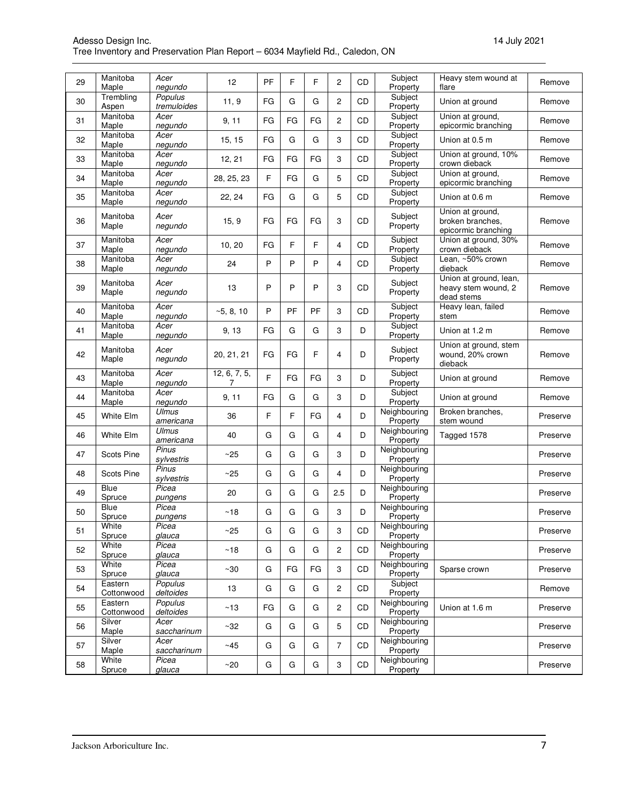| Adesso Design Inc. |                                                                              |  |
|--------------------|------------------------------------------------------------------------------|--|
|                    | Tree Inventory and Preservation Plan Report - 6034 Mayfield Rd., Caledon, ON |  |

| 29 | Manitoba<br>Maple     | Acer<br>negundo           | 12                | PF | F  | F  | 2                       | <b>CD</b> | Subject<br>Property      | Heavy stem wound at<br>flare                                | Remove   |
|----|-----------------------|---------------------------|-------------------|----|----|----|-------------------------|-----------|--------------------------|-------------------------------------------------------------|----------|
| 30 | Trembling<br>Aspen    | Populus<br>tremuloides    | 11, 9             | FG | G  | G  | $\overline{2}$          | <b>CD</b> | Subject<br>Property      | Union at ground                                             | Remove   |
| 31 | Manitoba<br>Maple     | Acer<br>negundo           | 9, 11             | FG | FG | FG | $\overline{c}$          | CD        | Subject<br>Property      | Union at ground,<br>epicormic branching                     | Remove   |
| 32 | Manitoba              | Acer                      | 15, 15            | FG | G  | G  | 3                       | CD        | Subject                  | Union at 0.5 m                                              | Remove   |
| 33 | Maple<br>Manitoba     | negundo<br>Acer           | 12, 21            | FG | FG | FG | 3                       | CD        | Property<br>Subject      | Union at ground, 10%                                        | Remove   |
| 34 | Maple<br>Manitoba     | negundo<br>Acer           | 28, 25, 23        | F  | FG | G  | 5                       | CD        | Property<br>Subject      | crown dieback<br>Union at ground,                           | Remove   |
|    | Maple<br>Manitoba     | negundo<br>Acer           |                   |    |    |    |                         |           | Property<br>Subject      | epicormic branching                                         |          |
| 35 | Maple                 | negundo                   | 22, 24            | FG | G  | G  | 5                       | CD        | Property                 | Union at 0.6 m                                              | Remove   |
| 36 | Manitoba<br>Maple     | Acer<br>negundo           | 15, 9             | FG | FG | FG | 3                       | CD        | Subject<br>Property      | Union at ground,<br>broken branches,<br>epicormic branching | Remove   |
| 37 | Manitoba<br>Maple     | Acer<br>negundo           | 10, 20            | FG | F  | F  | 4                       | CD        | Subject<br>Property      | Union at ground, 30%<br>crown dieback                       | Remove   |
| 38 | Manitoba<br>Maple     | Acer<br>negundo           | 24                | P  | P  | P  | 4                       | CD        | Subject<br>Property      | Lean, ~50% crown<br>dieback                                 | Remove   |
| 39 | Manitoba<br>Maple     | Acer<br>negundo           | 13                | P  | P  | P  | 3                       | CD        | Subject<br>Property      | Union at ground, lean,<br>heavy stem wound, 2<br>dead stems | Remove   |
| 40 | Manitoba<br>Maple     | Acer<br>negundo           | ~5, 8, 10         | P  | PF | PF | 3                       | CD        | Subject<br>Property      | Heavy lean, failed<br>stem                                  | Remove   |
| 41 | Manitoba<br>Maple     | Acer<br>negundo           | 9, 13             | FG | G  | G  | 3                       | D         | Subject<br>Property      | Union at 1.2 m                                              | Remove   |
| 42 | Manitoba<br>Maple     | Acer<br>negundo           | 20, 21, 21        | FG | FG | F  | 4                       | D         | Subject<br>Property      | Union at ground, stem<br>wound, 20% crown<br>dieback        | Remove   |
| 43 | Manitoba<br>Maple     | Acer<br>negundo           | 12, 6, 7, 5,<br>7 | F  | FG | FG | 3                       | D         | Subject<br>Property      | Union at ground                                             | Remove   |
| 44 | Manitoba<br>Maple     | Acer<br>negundo           | 9, 11             | FG | G  | G  | 3                       | D         | Subject<br>Property      | Union at ground                                             | Remove   |
| 45 | White Elm             | <b>Ulmus</b><br>americana | 36                | F  | F  | FG | $\overline{\mathbf{4}}$ | D         | Neighbouring<br>Property | Broken branches,<br>stem wound                              | Preserve |
| 46 | White Elm             | <b>Ulmus</b><br>americana | 40                | G  | G  | G  | $\overline{\mathbf{4}}$ | D         | Neighbouring<br>Property | Tagged 1578                                                 | Preserve |
| 47 | <b>Scots Pine</b>     | Pinus<br>sylvestris       | ~25               | G  | G  | G  | 3                       | D         | Neighbouring<br>Property |                                                             | Preserve |
| 48 | <b>Scots Pine</b>     | Pinus<br>sylvestris       | ~25               | G  | G  | G  | 4                       | D         | Neighbouring<br>Property |                                                             | Preserve |
| 49 | Blue<br>Spruce        | Picea<br>pungens          | 20                | G  | G  | G  | 2.5                     | D         | Neighbouring<br>Property |                                                             | Preserve |
| 50 | Blue<br>Spruce        | Picea<br>pungens          | ~18               | G  | G  | G  | 3                       | D         | Neighbouring<br>Property |                                                             | Preserve |
| 51 | White<br>Spruce       | Picea<br>glauca           | ~25               | G  | G  | G  | 3                       | CD        | Neighbouring<br>Property |                                                             | Preserve |
| 52 | White<br>Spruce       | Picea<br>glauca           | ~18               | G  | G  | G  | $\overline{c}$          | CD        | Neighbouring<br>Property |                                                             | Preserve |
| 53 | White<br>Spruce       | Picea<br>glauca           | $~1$ - 30         | G  | FG | FG | 3                       | <b>CD</b> | Neighbouring<br>Property | Sparse crown                                                | Preserve |
| 54 | Eastern<br>Cottonwood | Populus<br>deltoides      | 13                | G  | G  | G  | $\overline{c}$          | CD        | Subject<br>Property      |                                                             | Remove   |
| 55 | Eastern<br>Cottonwood | Populus<br>deltoides      | ~13               | FG | G  | G  | 2                       | CD        | Neighbouring<br>Property | Union at 1.6 m                                              | Preserve |
| 56 | Silver<br>Maple       | Acer<br>saccharinum       | $~1$ - 32         | G  | G  | G  | 5                       | CD        | Neighbouring<br>Property |                                                             | Preserve |
| 57 | Silver<br>Maple       | Acer<br>saccharinum       | ~45               | G  | G  | G  | 7                       | CD        | Neighbouring<br>Property |                                                             | Preserve |
| 58 | White<br>Spruce       | Picea<br>glauca           | ~20               | G  | G  | G  | 3                       | CD        | Neighbouring<br>Property |                                                             | Preserve |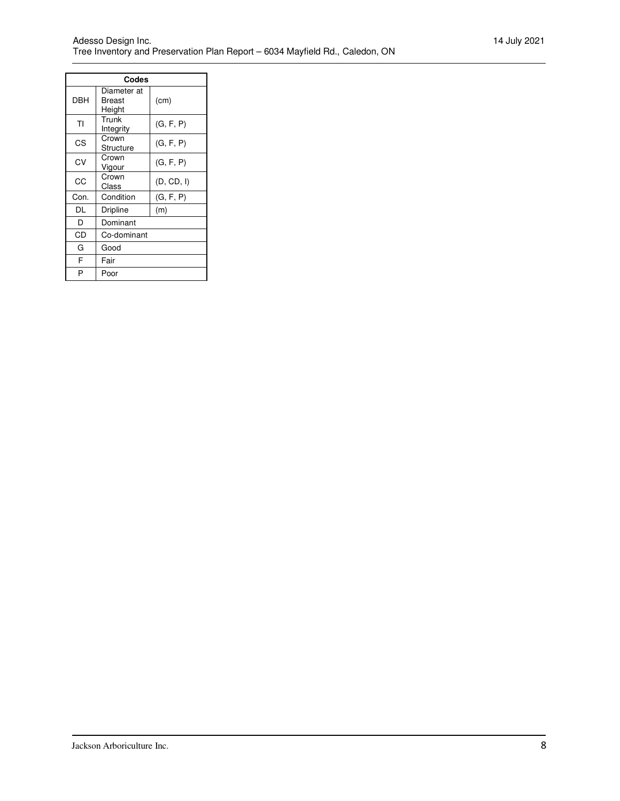| Codes      |                                 |            |  |  |  |
|------------|---------------------------------|------------|--|--|--|
| <b>DBH</b> | Diameter at<br>Breast<br>Height | (cm)       |  |  |  |
| ΤI         | Trunk<br>Integrity              | (G, F, P)  |  |  |  |
| CS         | Crown<br>Structure              | (G, F, P)  |  |  |  |
| CV         | Crown<br>Vigour                 | (G, F, P)  |  |  |  |
| CC         | Crown<br>Class                  | (D, CD, I) |  |  |  |
| Con.       | Condition                       | (G, F, P)  |  |  |  |
| DL         | Dripline                        | (m)        |  |  |  |
| D          | Dominant                        |            |  |  |  |
| CD         | Co-dominant                     |            |  |  |  |
| G          | Good                            |            |  |  |  |
| F          | Fair                            |            |  |  |  |
| P          | Poor                            |            |  |  |  |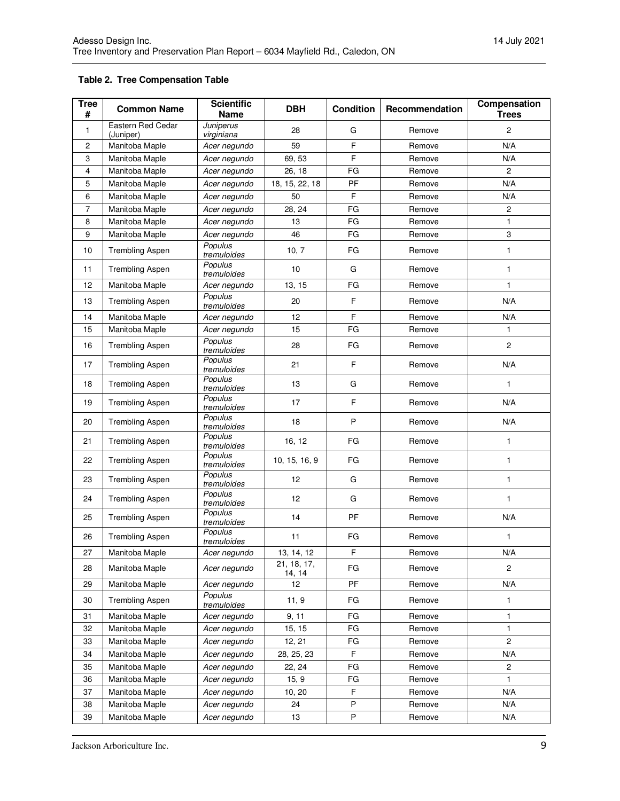### **Table 2. Tree Compensation Table**

| <b>Tree</b><br># | <b>Common Name</b>             | <b>Scientific</b><br><b>DBH</b><br><b>Condition</b><br><b>Name</b> |                       | Recommendation | Compensation<br><b>Trees</b> |                           |
|------------------|--------------------------------|--------------------------------------------------------------------|-----------------------|----------------|------------------------------|---------------------------|
| 1                | Eastern Red Cedar<br>(Juniper) | Juniperus<br>virginiana                                            | 28                    | G              | Remove                       | $\overline{c}$            |
| $\overline{c}$   | Manitoba Maple                 | Acer negundo                                                       | 59                    | $\overline{F}$ | Remove                       | N/A                       |
| 3                | Manitoba Maple                 | Acer negundo                                                       | 69, 53                | F              | Remove                       | N/A                       |
| 4                | Manitoba Maple                 | Acer negundo                                                       | 26, 18                | FG             | Remove                       | $\overline{c}$            |
| 5                | Manitoba Maple                 | Acer negundo                                                       | 18, 15, 22, 18        | PF             | Remove                       | N/A                       |
| 6                | Manitoba Maple                 | Acer negundo                                                       | 50                    | F              | Remove                       | N/A                       |
| 7                | Manitoba Maple                 | Acer negundo                                                       | 28, 24                | FG             | Remove                       | $\sqrt{2}$                |
| 8                | Manitoba Maple                 | Acer negundo                                                       | 13                    | FG             | Remove                       | 1                         |
| 9                | Manitoba Maple                 | Acer negundo                                                       | 46                    | FG             | Remove                       | $\ensuremath{\mathsf{3}}$ |
| 10               | <b>Trembling Aspen</b>         | Populus<br>tremuloides                                             | 10, 7                 | FG             | Remove                       | $\mathbf{1}$              |
| 11               | <b>Trembling Aspen</b>         | Populus<br>tremuloides                                             | 10                    | G              | Remove                       | 1                         |
| 12               | Manitoba Maple                 | Acer negundo                                                       | 13, 15                | FG             | Remove                       | $\mathbf{1}$              |
| 13               | <b>Trembling Aspen</b>         | Populus<br>tremuloides                                             | 20                    | F              | Remove                       | N/A                       |
| 14               | Manitoba Maple                 | Acer negundo                                                       | 12                    | F              | Remove                       | N/A                       |
| 15               | Manitoba Maple                 | Acer negundo                                                       | 15                    | FG             | Remove                       | 1                         |
| 16               | <b>Trembling Aspen</b>         | Populus<br>tremuloides                                             | 28                    | FG             | Remove                       | $\overline{c}$            |
| 17               | <b>Trembling Aspen</b>         | Populus<br>tremuloides                                             | 21                    | F              | Remove                       | N/A                       |
| 18               | <b>Trembling Aspen</b>         | Populus<br>tremuloides                                             | 13                    | G              | Remove                       | 1                         |
| 19               | <b>Trembling Aspen</b>         | Populus<br>tremuloides                                             | 17                    | F              | Remove                       | N/A                       |
| 20               | <b>Trembling Aspen</b>         | Populus<br>tremuloides                                             | 18                    | P              | Remove                       | N/A                       |
| 21               | <b>Trembling Aspen</b>         | Populus<br>tremuloides                                             | 16, 12                | FG             | Remove                       | 1                         |
| 22               | <b>Trembling Aspen</b>         | Populus<br>tremuloides                                             | 10, 15, 16, 9         | FG             | Remove                       | 1                         |
| 23               | <b>Trembling Aspen</b>         | Populus<br>tremuloides                                             | 12                    | G              | Remove                       | 1                         |
| 24               | <b>Trembling Aspen</b>         | Populus<br>tremuloides<br>Populus                                  | 12                    | G              | Remove                       | 1                         |
| 25               | <b>Trembling Aspen</b>         | tremuloides<br>Populus                                             | 14                    | PF             | Remove                       | N/A                       |
| 26               | <b>Trembling Aspen</b>         | tremuloides                                                        | 11                    | FG             | Remove                       | 1                         |
| 27               | Manitoba Maple                 | Acer negundo                                                       | 13, 14, 12            | F              | Remove                       | N/A                       |
| 28               | Manitoba Maple                 | Acer negundo                                                       | 21, 18, 17,<br>14, 14 | FG             | Remove                       | $\overline{c}$            |
| 29               | Manitoba Maple                 | Acer negundo                                                       | 12                    | PF             | Remove                       | N/A                       |
| 30               | <b>Trembling Aspen</b>         | Populus<br>tremuloides                                             | 11, 9                 | FG             | Remove                       | $\mathbf{1}$              |
| 31               | Manitoba Maple                 | Acer negundo                                                       | 9, 11                 | FG             | Remove                       | 1                         |
| 32               | Manitoba Maple                 | Acer negundo                                                       | 15, 15                | FG             | Remove                       | 1                         |
| 33               | Manitoba Maple                 | Acer negundo                                                       | 12, 21                | FG             | Remove                       | $\overline{c}$            |
| 34               | Manitoba Maple                 | Acer negundo                                                       | 28, 25, 23            | F              | Remove                       | N/A                       |
| 35               | Manitoba Maple                 | Acer negundo                                                       | 22, 24                | FG             | Remove                       | $\overline{c}$            |
| 36               | Manitoba Maple                 | Acer negundo                                                       | 15, 9                 | FG             | Remove                       | 1                         |
| 37               | Manitoba Maple                 | Acer negundo                                                       | 10, 20                | F              | Remove                       | N/A                       |
| 38               | Manitoba Maple                 | Acer negundo                                                       | 24                    | P              | Remove                       | N/A                       |
| 39               | Manitoba Maple                 | Acer negundo                                                       | 13                    | P              | Remove                       | N/A                       |